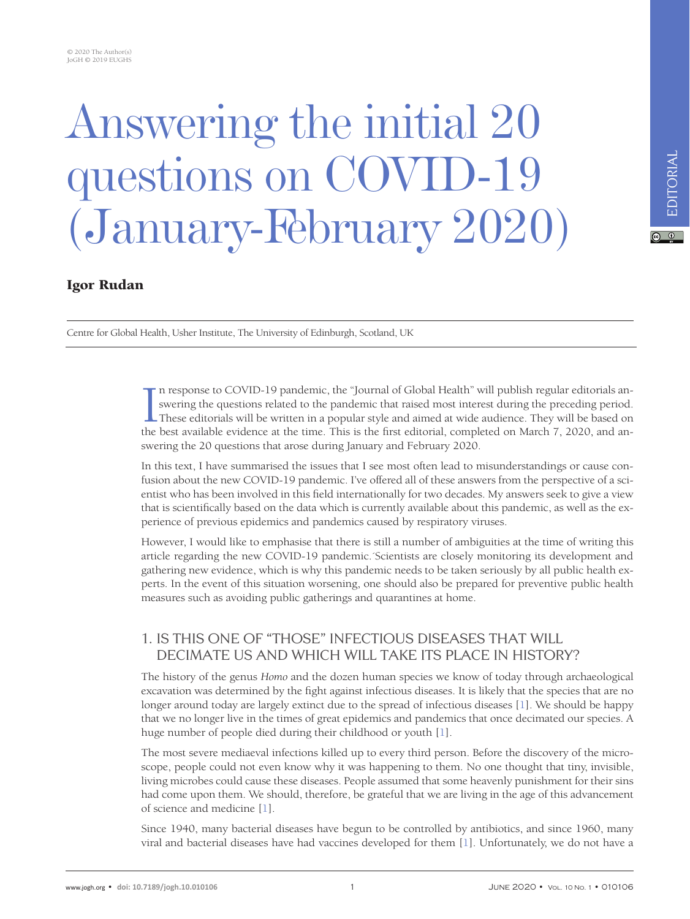# Answering the initial 20 questions on COVID-19 (January-February 2020)

# Igor Rudan

Centre for Global Health, Usher Institute, The University of Edinburgh, Scotland, UK

 $\prod_{\text{the}}$ n response to COVID-19 pandemic, the "Journal of Global Health" will publish regular editorials answering the questions related to the pandemic that raised most interest during the preceding period. These editorials will be written in a popular style and aimed at wide audience. They will be based on the best available evidence at the time. This is the first editorial, completed on March 7, 2020, and answering the 20 questions that arose during January and February 2020.

In this text, I have summarised the issues that I see most often lead to misunderstandings or cause confusion about the new COVID-19 pandemic. I've offered all of these answers from the perspective of a scientist who has been involved in this field internationally for two decades. My answers seek to give a view that is scientifically based on the data which is currently available about this pandemic, as well as the experience of previous epidemics and pandemics caused by respiratory viruses.

However, I would like to emphasise that there is still a number of ambiguities at the time of writing this article regarding the new COVID-19 pandemic.´Scientists are closely monitoring its development and gathering new evidence, which is why this pandemic needs to be taken seriously by all public health experts. In the event of this situation worsening, one should also be prepared for preventive public health measures such as avoiding public gatherings and quarantines at home.

# 1. IS THIS ONE OF "THOSE" INFECTIOUS DISEASES THAT WILL DECIMATE US AND WHICH WILL TAKE ITS PLACE IN HISTORY?

The history of the genus *Homo* and the dozen human species we know of today through archaeological excavation was determined by the fight against infectious diseases. It is likely that the species that are no longer around today are largely extinct due to the spread of infectious diseases [\[1\]](#page-12-0). We should be happy that we no longer live in the times of great epidemics and pandemics that once decimated our species. A huge number of people died during their childhood or youth [\[1\]](#page-12-0).

The most severe mediaeval infections killed up to every third person. Before the discovery of the microscope, people could not even know why it was happening to them. No one thought that tiny, invisible, living microbes could cause these diseases. People assumed that some heavenly punishment for their sins had come upon them. We should, therefore, be grateful that we are living in the age of this advancement of science and medicine [\[1\]](#page-12-0).

Since 1940, many bacterial diseases have begun to be controlled by antibiotics, and since 1960, many viral and bacterial diseases have had vaccines developed for them [[1\]](#page-12-0). Unfortunately, we do not have a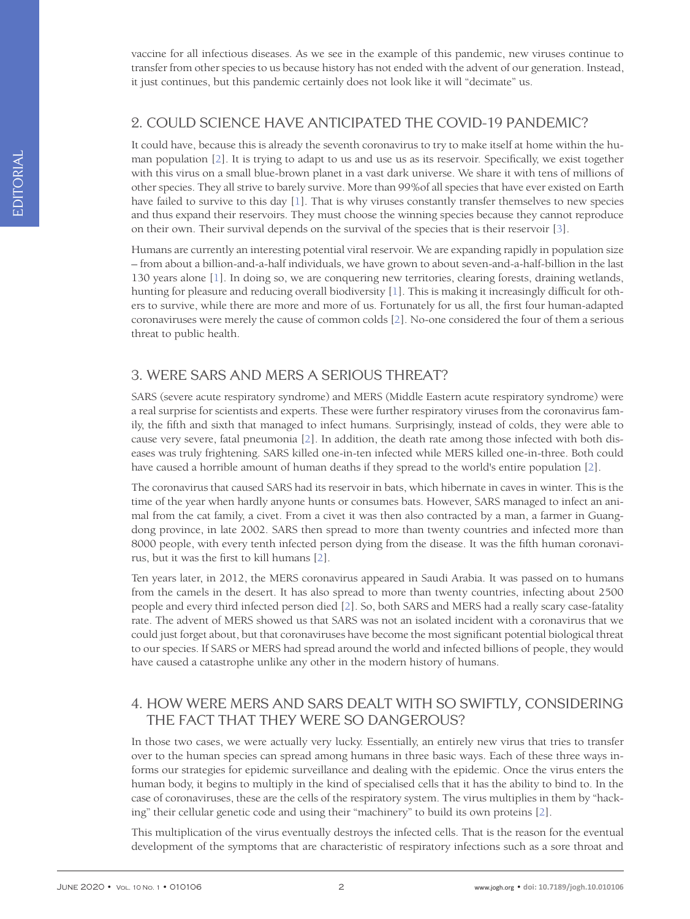vaccine for all infectious diseases. As we see in the example of this pandemic, new viruses continue to transfer from other species to us because history has not ended with the advent of our generation. Instead, it just continues, but this pandemic certainly does not look like it will "decimate" us.

# 2. COULD SCIENCE HAVE ANTICIPATED THE COVID-19 PANDEMIC?

It could have, because this is already the seventh coronavirus to try to make itself at home within the human population [[2](#page-12-1)]. It is trying to adapt to us and use us as its reservoir. Specifically, we exist together with this virus on a small blue-brown planet in a vast dark universe. We share it with tens of millions of other species. They all strive to barely survive. More than 99%of all species that have ever existed on Earth have failed to survive to this day [\[1\]](#page-12-0). That is why viruses constantly transfer themselves to new species and thus expand their reservoirs. They must choose the winning species because they cannot reproduce on their own. Their survival depends on the survival of the species that is their reservoir [\[3\]](#page-12-2).

Humans are currently an interesting potential viral reservoir. We are expanding rapidly in population size – from about a billion-and-a-half individuals, we have grown to about seven-and-a-half-billion in the last 130 years alone [[1\]](#page-12-0). In doing so, we are conquering new territories, clearing forests, draining wetlands, hunting for pleasure and reducing overall biodiversity [\[1](#page-12-0)]. This is making it increasingly difficult for others to survive, while there are more and more of us. Fortunately for us all, the first four human-adapted coronaviruses were merely the cause of common colds [[2\]](#page-12-0). No-one considered the four of them a serious threat to public health.

# 3. WERE SARS AND MERS A SERIOUS THREAT?

SARS (severe acute respiratory syndrome) and MERS (Middle Eastern acute respiratory syndrome) were a real surprise for scientists and experts. These were further respiratory viruses from the coronavirus family, the fifth and sixth that managed to infect humans. Surprisingly, instead of colds, they were able to cause very severe, fatal pneumonia [[2](#page-12-0)]. In addition, the death rate among those infected with both diseases was truly frightening. SARS killed one-in-ten infected while MERS killed one-in-three. Both could have caused a horrible amount of human deaths if they spread to the world's entire population [[2](#page-12-0)].

The coronavirus that caused SARS had its reservoir in bats, which hibernate in caves in winter. This is the time of the year when hardly anyone hunts or consumes bats. However, SARS managed to infect an animal from the cat family, a civet. From a civet it was then also contracted by a man, a farmer in Guangdong province, in late 2002. SARS then spread to more than twenty countries and infected more than 8000 people, with every tenth infected person dying from the disease. It was the fifth human coronavirus, but it was the first to kill humans [\[2](#page-12-0)].

Ten years later, in 2012, the MERS coronavirus appeared in Saudi Arabia. It was passed on to humans from the camels in the desert. It has also spread to more than twenty countries, infecting about 2500 people and every third infected person died [[2\]](#page-12-0). So, both SARS and MERS had a really scary case-fatality rate. The advent of MERS showed us that SARS was not an isolated incident with a coronavirus that we could just forget about, but that coronaviruses have become the most significant potential biological threat to our species. If SARS or MERS had spread around the world and infected billions of people, they would have caused a catastrophe unlike any other in the modern history of humans.

# 4. HOW WERE MERS AND SARS DEALT WITH SO SWIFTLY, CONSIDERING THE FACT THAT THEY WERE SO DANGEROUS?

In those two cases, we were actually very lucky. Essentially, an entirely new virus that tries to transfer over to the human species can spread among humans in three basic ways. Each of these three ways informs our strategies for epidemic surveillance and dealing with the epidemic. Once the virus enters the human body, it begins to multiply in the kind of specialised cells that it has the ability to bind to. In the case of coronaviruses, these are the cells of the respiratory system. The virus multiplies in them by "hacking" their cellular genetic code and using their "machinery" to build its own proteins [[2](#page-12-1)].

This multiplication of the virus eventually destroys the infected cells. That is the reason for the eventual development of the symptoms that are characteristic of respiratory infections such as a sore throat and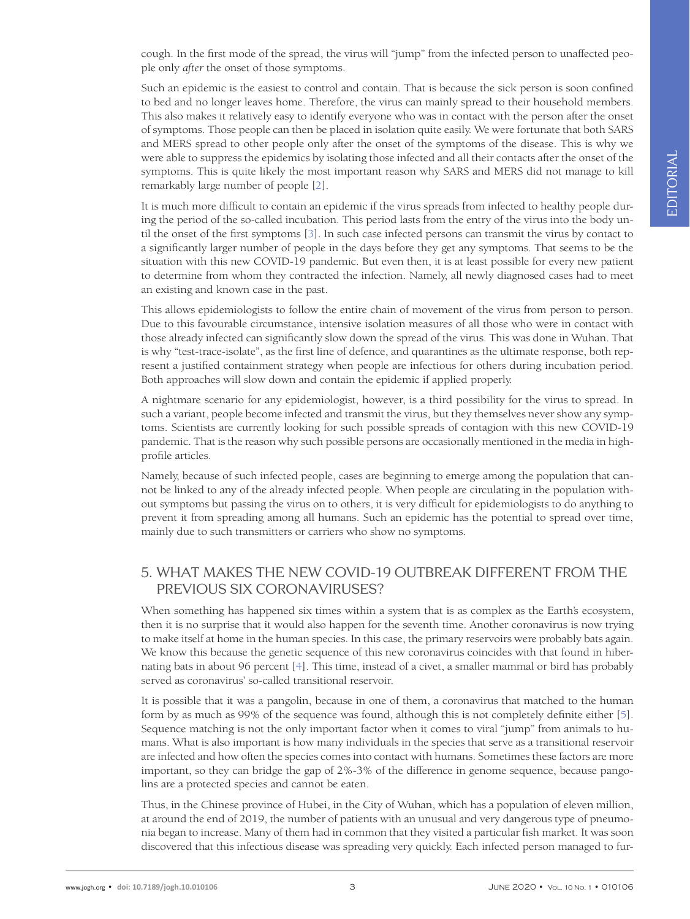cough. In the first mode of the spread, the virus will "jump" from the infected person to unaffected people only *after* the onset of those symptoms.

Such an epidemic is the easiest to control and contain. That is because the sick person is soon confined to bed and no longer leaves home. Therefore, the virus can mainly spread to their household members. This also makes it relatively easy to identify everyone who was in contact with the person after the onset of symptoms. Those people can then be placed in isolation quite easily. We were fortunate that both SARS and MERS spread to other people only after the onset of the symptoms of the disease. This is why we were able to suppress the epidemics by isolating those infected and all their contacts after the onset of the symptoms. This is quite likely the most important reason why SARS and MERS did not manage to kill remarkably large number of people [\[2](#page-12-1)].

It is much more difficult to contain an epidemic if the virus spreads from infected to healthy people during the period of the so-called incubation. This period lasts from the entry of the virus into the body until the onset of the first symptoms [[3](#page-12-2)]. In such case infected persons can transmit the virus by contact to a significantly larger number of people in the days before they get any symptoms. That seems to be the situation with this new COVID-19 pandemic. But even then, it is at least possible for every new patient to determine from whom they contracted the infection. Namely, all newly diagnosed cases had to meet an existing and known case in the past.

This allows epidemiologists to follow the entire chain of movement of the virus from person to person. Due to this favourable circumstance, intensive isolation measures of all those who were in contact with those already infected can significantly slow down the spread of the virus. This was done in Wuhan. That is why "test-trace-isolate", as the first line of defence, and quarantines as the ultimate response, both represent a justified containment strategy when people are infectious for others during incubation period. Both approaches will slow down and contain the epidemic if applied properly.

A nightmare scenario for any epidemiologist, however, is a third possibility for the virus to spread. In such a variant, people become infected and transmit the virus, but they themselves never show any symptoms. Scientists are currently looking for such possible spreads of contagion with this new COVID-19 pandemic. That is the reason why such possible persons are occasionally mentioned in the media in highprofile articles.

Namely, because of such infected people, cases are beginning to emerge among the population that cannot be linked to any of the already infected people. When people are circulating in the population without symptoms but passing the virus on to others, it is very difficult for epidemiologists to do anything to prevent it from spreading among all humans. Such an epidemic has the potential to spread over time, mainly due to such transmitters or carriers who show no symptoms.

### 5. WHAT MAKES THE NEW COVID-19 OUTBREAK DIFFERENT FROM THE PREVIOUS SIX CORONAVIRUSES?

When something has happened six times within a system that is as complex as the Earth's ecosystem, then it is no surprise that it would also happen for the seventh time. Another coronavirus is now trying to make itself at home in the human species. In this case, the primary reservoirs were probably bats again. We know this because the genetic sequence of this new coronavirus coincides with that found in hibernating bats in about 96 percent [[4\]](#page-12-3). This time, instead of a civet, a smaller mammal or bird has probably served as coronavirus' so-called transitional reservoir.

It is possible that it was a pangolin, because in one of them, a coronavirus that matched to the human form by as much as 99% of the sequence was found, although this is not completely definite either [[5](#page-12-4)]. Sequence matching is not the only important factor when it comes to viral "jump" from animals to humans. What is also important is how many individuals in the species that serve as a transitional reservoir are infected and how often the species comes into contact with humans. Sometimes these factors are more important, so they can bridge the gap of 2%-3% of the difference in genome sequence, because pangolins are a protected species and cannot be eaten.

Thus, in the Chinese province of Hubei, in the City of Wuhan, which has a population of eleven million, at around the end of 2019, the number of patients with an unusual and very dangerous type of pneumonia began to increase. Many of them had in common that they visited a particular fish market. It was soon discovered that this infectious disease was spreading very quickly. Each infected person managed to fur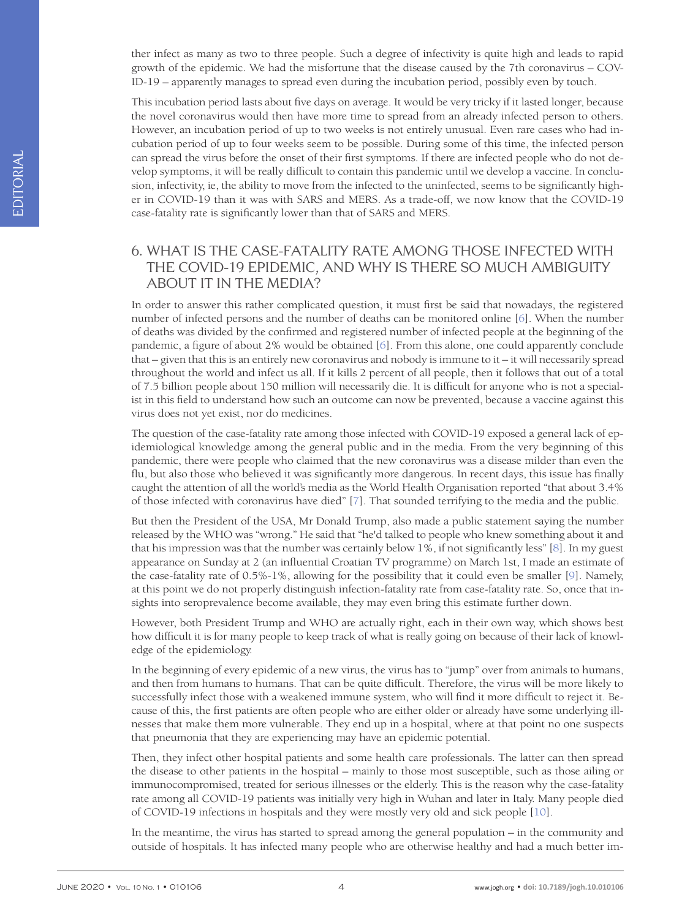ther infect as many as two to three people. Such a degree of infectivity is quite high and leads to rapid growth of the epidemic. We had the misfortune that the disease caused by the 7th coronavirus – COV-ID-19 – apparently manages to spread even during the incubation period, possibly even by touch.

This incubation period lasts about five days on average. It would be very tricky if it lasted longer, because the novel coronavirus would then have more time to spread from an already infected person to others. However, an incubation period of up to two weeks is not entirely unusual. Even rare cases who had incubation period of up to four weeks seem to be possible. During some of this time, the infected person can spread the virus before the onset of their first symptoms. If there are infected people who do not develop symptoms, it will be really difficult to contain this pandemic until we develop a vaccine. In conclusion, infectivity, ie, the ability to move from the infected to the uninfected, seems to be significantly higher in COVID-19 than it was with SARS and MERS. As a trade-off, we now know that the COVID-19 case-fatality rate is significantly lower than that of SARS and MERS.

### 6. WHAT IS THE CASE-FATALITY RATE AMONG THOSE INFECTED WITH THE COVID-19 EPIDEMIC, AND WHY IS THERE SO MUCH AMBIGUITY ABOUT IT IN THE MEDIA?

In order to answer this rather complicated question, it must first be said that nowadays, the registered number of infected persons and the number of deaths can be monitored online [[6](#page-12-5)]. When the number of deaths was divided by the confirmed and registered number of infected people at the beginning of the pandemic, a figure of about 2% would be obtained [\[6](#page-12-5)]. From this alone, one could apparently conclude that – given that this is an entirely new coronavirus and nobody is immune to it – it will necessarily spread throughout the world and infect us all. If it kills 2 percent of all people, then it follows that out of a total of 7.5 billion people about 150 million will necessarily die. It is difficult for anyone who is not a specialist in this field to understand how such an outcome can now be prevented, because a vaccine against this virus does not yet exist, nor do medicines.

The question of the case-fatality rate among those infected with COVID-19 exposed a general lack of epidemiological knowledge among the general public and in the media. From the very beginning of this pandemic, there were people who claimed that the new coronavirus was a disease milder than even the flu, but also those who believed it was significantly more dangerous. In recent days, this issue has finally caught the attention of all the world's media as the World Health Organisation reported "that about 3.4% of those infected with coronavirus have died" [[7](#page-12-6)]. That sounded terrifying to the media and the public.

But then the President of the USA, Mr Donald Trump, also made a public statement saying the number released by the WHO was "wrong." He said that "he'd talked to people who knew something about it and that his impression was that the number was certainly below 1%, if not significantly less" [[8\]](#page-12-7). In my guest appearance on Sunday at 2 (an influential Croatian TV programme) on March 1st, I made an estimate of the case-fatality rate of 0.5%-1%, allowing for the possibility that it could even be smaller [[9](#page-12-8)]. Namely, at this point we do not properly distinguish infection-fatality rate from case-fatality rate. So, once that insights into seroprevalence become available, they may even bring this estimate further down.

However, both President Trump and WHO are actually right, each in their own way, which shows best how difficult it is for many people to keep track of what is really going on because of their lack of knowledge of the epidemiology.

In the beginning of every epidemic of a new virus, the virus has to "jump" over from animals to humans, and then from humans to humans. That can be quite difficult. Therefore, the virus will be more likely to successfully infect those with a weakened immune system, who will find it more difficult to reject it. Because of this, the first patients are often people who are either older or already have some underlying illnesses that make them more vulnerable. They end up in a hospital, where at that point no one suspects that pneumonia that they are experiencing may have an epidemic potential.

Then, they infect other hospital patients and some health care professionals. The latter can then spread the disease to other patients in the hospital – mainly to those most susceptible, such as those ailing or immunocompromised, treated for serious illnesses or the elderly. This is the reason why the case-fatality rate among all COVID-19 patients was initially very high in Wuhan and later in Italy. Many people died of COVID-19 infections in hospitals and they were mostly very old and sick people [[10](#page-12-9)].

In the meantime, the virus has started to spread among the general population – in the community and outside of hospitals. It has infected many people who are otherwise healthy and had a much better im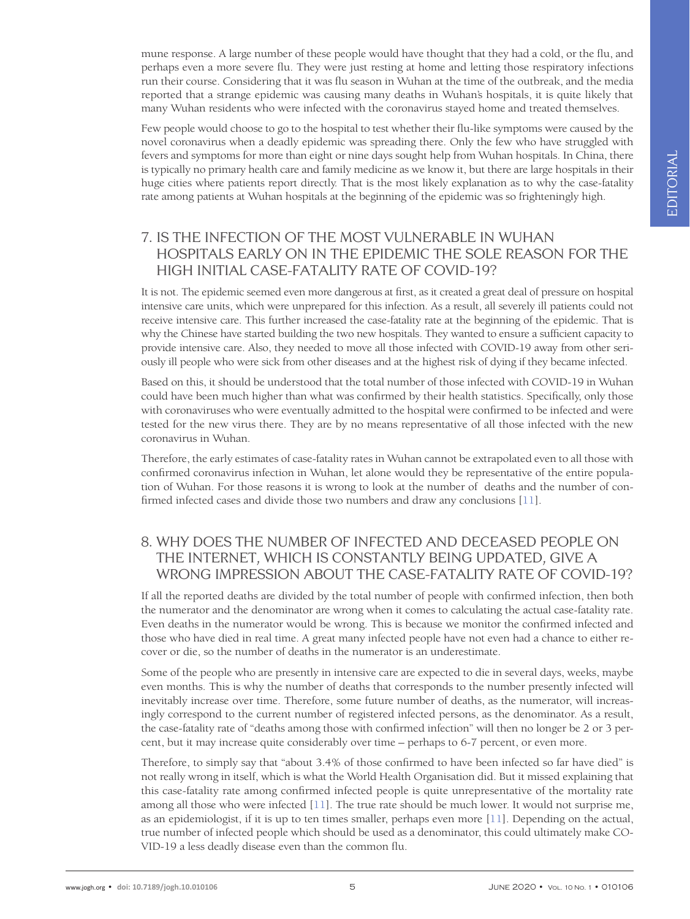mune response. A large number of these people would have thought that they had a cold, or the flu, and perhaps even a more severe flu. They were just resting at home and letting those respiratory infections run their course. Considering that it was flu season in Wuhan at the time of the outbreak, and the media reported that a strange epidemic was causing many deaths in Wuhan's hospitals, it is quite likely that many Wuhan residents who were infected with the coronavirus stayed home and treated themselves.

Few people would choose to go to the hospital to test whether their flu-like symptoms were caused by the novel coronavirus when a deadly epidemic was spreading there. Only the few who have struggled with fevers and symptoms for more than eight or nine days sought help from Wuhan hospitals. In China, there is typically no primary health care and family medicine as we know it, but there are large hospitals in their huge cities where patients report directly. That is the most likely explanation as to why the case-fatality rate among patients at Wuhan hospitals at the beginning of the epidemic was so frighteningly high.

# 7. IS THE INFECTION OF THE MOST VULNERABLE IN WUHAN HOSPITALS EARLY ON IN THE EPIDEMIC THE SOLE REASON FOR THE HIGH INITIAL CASE-FATALITY RATE OF COVID-19?

It is not. The epidemic seemed even more dangerous at first, as it created a great deal of pressure on hospital intensive care units, which were unprepared for this infection. As a result, all severely ill patients could not receive intensive care. This further increased the case-fatality rate at the beginning of the epidemic. That is why the Chinese have started building the two new hospitals. They wanted to ensure a sufficient capacity to provide intensive care. Also, they needed to move all those infected with COVID-19 away from other seriously ill people who were sick from other diseases and at the highest risk of dying if they became infected.

Based on this, it should be understood that the total number of those infected with COVID-19 in Wuhan could have been much higher than what was confirmed by their health statistics. Specifically, only those with coronaviruses who were eventually admitted to the hospital were confirmed to be infected and were tested for the new virus there. They are by no means representative of all those infected with the new coronavirus in Wuhan.

Therefore, the early estimates of case-fatality rates in Wuhan cannot be extrapolated even to all those with confirmed coronavirus infection in Wuhan, let alone would they be representative of the entire population of Wuhan. For those reasons it is wrong to look at the number of deaths and the number of confirmed infected cases and divide those two numbers and draw any conclusions [[11\]](#page-12-10).

# 8. WHY DOES THE NUMBER OF INFECTED AND DECEASED PEOPLE ON THE INTERNET, WHICH IS CONSTANTLY BEING UPDATED, GIVE A WRONG IMPRESSION ABOUT THE CASE-FATALITY RATE OF COVID-19?

If all the reported deaths are divided by the total number of people with confirmed infection, then both the numerator and the denominator are wrong when it comes to calculating the actual case-fatality rate. Even deaths in the numerator would be wrong. This is because we monitor the confirmed infected and those who have died in real time. A great many infected people have not even had a chance to either recover or die, so the number of deaths in the numerator is an underestimate.

Some of the people who are presently in intensive care are expected to die in several days, weeks, maybe even months. This is why the number of deaths that corresponds to the number presently infected will inevitably increase over time. Therefore, some future number of deaths, as the numerator, will increasingly correspond to the current number of registered infected persons, as the denominator. As a result, the case-fatality rate of "deaths among those with confirmed infection" will then no longer be 2 or 3 percent, but it may increase quite considerably over time – perhaps to 6-7 percent, or even more.

Therefore, to simply say that "about 3.4% of those confirmed to have been infected so far have died" is not really wrong in itself, which is what the World Health Organisation did. But it missed explaining that this case-fatality rate among confirmed infected people is quite unrepresentative of the mortality rate among all those who were infected [[11](#page-12-10)]. The true rate should be much lower. It would not surprise me, as an epidemiologist, if it is up to ten times smaller, perhaps even more [[11\]](#page-12-10). Depending on the actual, true number of infected people which should be used as a denominator, this could ultimately make CO-VID-19 a less deadly disease even than the common flu.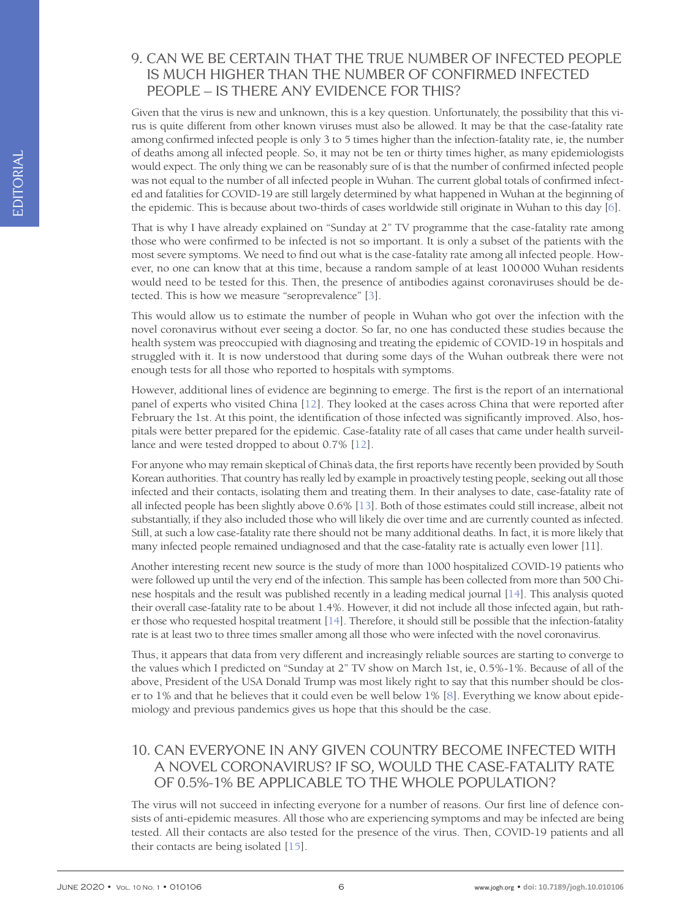#### 9. CAN WE BE CERTAIN THAT THE TRUE NUMBER OF INFECTED PEOPLE IS MUCH HIGHER THAN THE NUMBER OF CONFIRMED INFECTED PEOPLE – IS THERE ANY EVIDENCE FOR THIS?

Given that the virus is new and unknown, this is a key question. Unfortunately, the possibility that this virus is quite different from other known viruses must also be allowed. It may be that the case-fatality rate among confirmed infected people is only 3 to 5 times higher than the infection-fatality rate, ie, the number of deaths among all infected people. So, it may not be ten or thirty times higher, as many epidemiologists would expect. The only thing we can be reasonably sure of is that the number of confirmed infected people was not equal to the number of all infected people in Wuhan. The current global totals of confirmed infected and fatalities for COVID-19 are still largely determined by what happened in Wuhan at the beginning of the epidemic. This is because about two-thirds of cases worldwide still originate in Wuhan to this day [[6](#page-12-5)].

That is why I have already explained on "Sunday at 2" TV programme that the case-fatality rate among those who were confirmed to be infected is not so important. It is only a subset of the patients with the most severe symptoms. We need to find out what is the case-fatality rate among all infected people. However, no one can know that at this time, because a random sample of at least 100000 Wuhan residents would need to be tested for this. Then, the presence of antibodies against coronaviruses should be detected. This is how we measure "seroprevalence" [\[3](#page-12-2)].

This would allow us to estimate the number of people in Wuhan who got over the infection with the novel coronavirus without ever seeing a doctor. So far, no one has conducted these studies because the health system was preoccupied with diagnosing and treating the epidemic of COVID-19 in hospitals and struggled with it. It is now understood that during some days of the Wuhan outbreak there were not enough tests for all those who reported to hospitals with symptoms.

However, additional lines of evidence are beginning to emerge. The first is the report of an international panel of experts who visited China [[12\]](#page-12-11). They looked at the cases across China that were reported after February the 1st. At this point, the identification of those infected was significantly improved. Also, hospitals were better prepared for the epidemic. Case-fatality rate of all cases that came under health surveillance and were tested dropped to about 0.7% [\[12](#page-12-11)].

For anyone who may remain skeptical of China's data, the first reports have recently been provided by South Korean authorities. That country has really led by example in proactively testing people, seeking out all those infected and their contacts, isolating them and treating them. In their analyses to date, case-fatality rate of all infected people has been slightly above 0.6% [[13](#page-12-12)]. Both of those estimates could still increase, albeit not substantially, if they also included those who will likely die over time and are currently counted as infected. Still, at such a low case-fatality rate there should not be many additional deaths. In fact, it is more likely that many infected people remained undiagnosed and that the case-fatality rate is actually even lower [11].

Another interesting recent new source is the study of more than 1000 hospitalized COVID-19 patients who were followed up until the very end of the infection. This sample has been collected from more than 500 Chinese hospitals and the result was published recently in a leading medical journal [[14](#page-12-13)]. This analysis quoted their overall case-fatality rate to be about 1.4%. However, it did not include all those infected again, but rather those who requested hospital treatment [\[14](#page-12-13)]. Therefore, it should still be possible that the infection-fatality rate is at least two to three times smaller among all those who were infected with the novel coronavirus.

Thus, it appears that data from very different and increasingly reliable sources are starting to converge to the values which I predicted on "Sunday at 2" TV show on March 1st, ie, 0.5%-1%. Because of all of the above, President of the USA Donald Trump was most likely right to say that this number should be closer to 1% and that he believes that it could even be well below 1% [[8](#page-12-7)]. Everything we know about epidemiology and previous pandemics gives us hope that this should be the case.

# 10. CAN EVERYONE IN ANY GIVEN COUNTRY BECOME INFECTED WITH A NOVEL CORONAVIRUS? IF SO, WOULD THE CASE-FATALITY RATE OF 0.5%-1% BE APPLICABLE TO THE WHOLE POPULATION?

The virus will not succeed in infecting everyone for a number of reasons. Our first line of defence consists of anti-epidemic measures. All those who are experiencing symptoms and may be infected are being tested. All their contacts are also tested for the presence of the virus. Then, COVID-19 patients and all their contacts are being isolated [[15](#page-12-14)].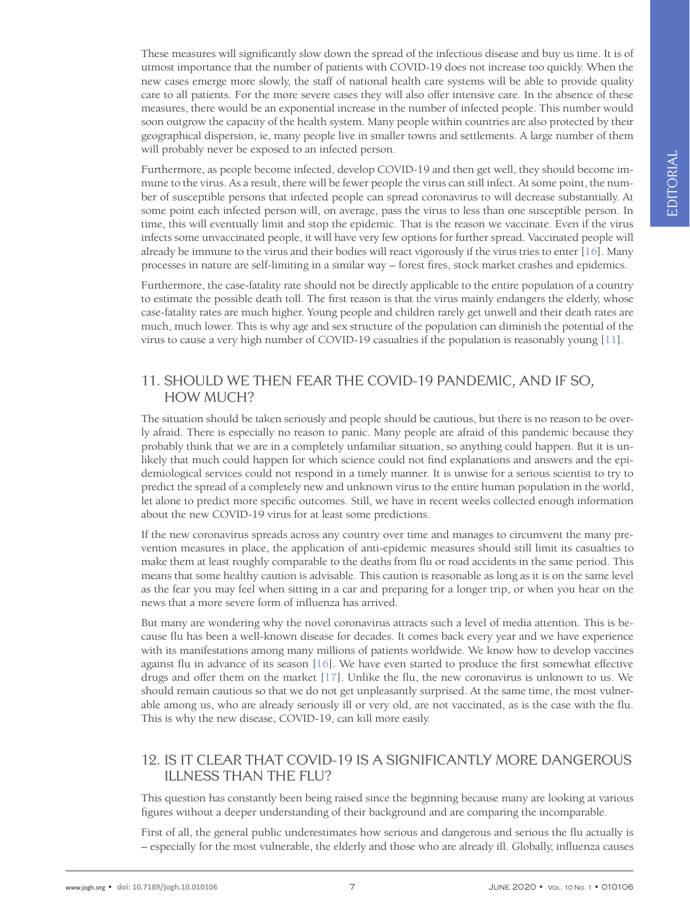These measures will significantly slow down the spread of the infectious disease and buy us time. It is of utmost importance that the number of patients with COVID-19 does not increase too quickly. When the new cases emerge more slowly, the staff of national health care systems will be able to provide quality care to all patients. For the more severe cases they will also offer intensive care. In the absence of these measures, there would be an exponential increase in the number of infected people. This number would soon outgrow the capacity of the health system. Many people within countries are also protected by their geographical dispersion, ie, many people live in smaller towns and settlements. A large number of them will probably never be exposed to an infected person.

Furthermore, as people become infected, develop COVID-19 and then get well, they should become immune to the virus. As a result, there will be fewer people the virus can still infect. At some point, the number of susceptible persons that infected people can spread coronavirus to will decrease substantially. At some point each infected person will, on average, pass the virus to less than one susceptible person. In time, this will eventually limit and stop the epidemic. That is the reason we vaccinate. Even if the virus infects some unvaccinated people, it will have very few options for further spread. Vaccinated people will already be immune to the virus and their bodies will react vigorously if the virus tries to enter [[16\]](#page-12-15). Many processes in nature are self-limiting in a similar way – forest fires, stock market crashes and epidemics.

Furthermore, the case-fatality rate should not be directly applicable to the entire population of a country to estimate the possible death toll. The first reason is that the virus mainly endangers the elderly, whose case-fatality rates are much higher. Young people and children rarely get unwell and their death rates are much, much lower. This is why age and sex structure of the population can diminish the potential of the virus to cause a very high number of COVID-19 casualties if the population is reasonably young [\[11\]](#page-12-10).

## 11. SHOULD WE THEN FEAR THE COVID-19 PANDEMIC, AND IF SO, HOW MUCH?

The situation should be taken seriously and people should be cautious, but there is no reason to be overly afraid. There is especially no reason to panic. Many people are afraid of this pandemic because they probably think that we are in a completely unfamiliar situation, so anything could happen. But it is unlikely that much could happen for which science could not find explanations and answers and the epidemiological services could not respond in a timely manner. It is unwise for a serious scientist to try to predict the spread of a completely new and unknown virus to the entire human population in the world, let alone to predict more specific outcomes. Still, we have in recent weeks collected enough information about the new COVID-19 virus for at least some predictions.

If the new coronavirus spreads across any country over time and manages to circumvent the many prevention measures in place, the application of anti-epidemic measures should still limit its casualties to make them at least roughly comparable to the deaths from flu or road accidents in the same period. This means that some healthy caution is advisable. This caution is reasonable as long as it is on the same level as the fear you may feel when sitting in a car and preparing for a longer trip, or when you hear on the news that a more severe form of influenza has arrived.

But many are wondering why the novel coronavirus attracts such a level of media attention. This is because flu has been a well-known disease for decades. It comes back every year and we have experience with its manifestations among many millions of patients worldwide. We know how to develop vaccines against flu in advance of its season [\[16\]](#page-12-15). We have even started to produce the first somewhat effective drugs and offer them on the market [\[17\]](#page-12-16). Unlike the flu, the new coronavirus is unknown to us. We should remain cautious so that we do not get unpleasantly surprised. At the same time, the most vulnerable among us, who are already seriously ill or very old, are not vaccinated, as is the case with the flu. This is why the new disease, COVID-19, can kill more easily.

# 12. IS IT CLEAR THAT COVID-19 IS A SIGNIFICANTLY MORE DANGEROUS ILLNESS THAN THE FLU?

This question has constantly been being raised since the beginning because many are looking at various figures without a deeper understanding of their background and are comparing the incomparable.

First of all, the general public underestimates how serious and dangerous and serious the flu actually is – especially for the most vulnerable, the elderly and those who are already ill. Globally, influenza causes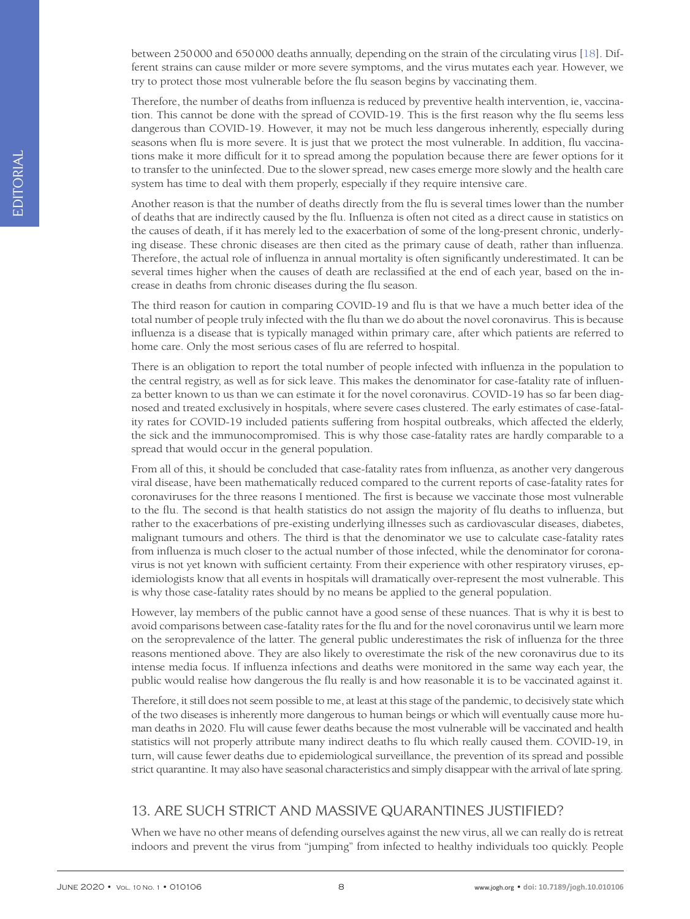between 250000 and 650000 deaths annually, depending on the strain of the circulating virus [[18](#page-12-17)]. Different strains can cause milder or more severe symptoms, and the virus mutates each year. However, we try to protect those most vulnerable before the flu season begins by vaccinating them.

Therefore, the number of deaths from influenza is reduced by preventive health intervention, ie, vaccination. This cannot be done with the spread of COVID-19. This is the first reason why the flu seems less dangerous than COVID-19. However, it may not be much less dangerous inherently, especially during seasons when flu is more severe. It is just that we protect the most vulnerable. In addition, flu vaccinations make it more difficult for it to spread among the population because there are fewer options for it to transfer to the uninfected. Due to the slower spread, new cases emerge more slowly and the health care system has time to deal with them properly, especially if they require intensive care.

Another reason is that the number of deaths directly from the flu is several times lower than the number of deaths that are indirectly caused by the flu. Influenza is often not cited as a direct cause in statistics on the causes of death, if it has merely led to the exacerbation of some of the long-present chronic, underlying disease. These chronic diseases are then cited as the primary cause of death, rather than influenza. Therefore, the actual role of influenza in annual mortality is often significantly underestimated. It can be several times higher when the causes of death are reclassified at the end of each year, based on the increase in deaths from chronic diseases during the flu season.

The third reason for caution in comparing COVID-19 and flu is that we have a much better idea of the total number of people truly infected with the flu than we do about the novel coronavirus. This is because influenza is a disease that is typically managed within primary care, after which patients are referred to home care. Only the most serious cases of flu are referred to hospital.

There is an obligation to report the total number of people infected with influenza in the population to the central registry, as well as for sick leave. This makes the denominator for case-fatality rate of influenza better known to us than we can estimate it for the novel coronavirus. COVID-19 has so far been diagnosed and treated exclusively in hospitals, where severe cases clustered. The early estimates of case-fatality rates for COVID-19 included patients suffering from hospital outbreaks, which affected the elderly, the sick and the immunocompromised. This is why those case-fatality rates are hardly comparable to a spread that would occur in the general population.

From all of this, it should be concluded that case-fatality rates from influenza, as another very dangerous viral disease, have been mathematically reduced compared to the current reports of case-fatality rates for coronaviruses for the three reasons I mentioned. The first is because we vaccinate those most vulnerable to the flu. The second is that health statistics do not assign the majority of flu deaths to influenza, but rather to the exacerbations of pre-existing underlying illnesses such as cardiovascular diseases, diabetes, malignant tumours and others. The third is that the denominator we use to calculate case-fatality rates from influenza is much closer to the actual number of those infected, while the denominator for coronavirus is not yet known with sufficient certainty. From their experience with other respiratory viruses, epidemiologists know that all events in hospitals will dramatically over-represent the most vulnerable. This is why those case-fatality rates should by no means be applied to the general population.

However, lay members of the public cannot have a good sense of these nuances. That is why it is best to avoid comparisons between case-fatality rates for the flu and for the novel coronavirus until we learn more on the seroprevalence of the latter. The general public underestimates the risk of influenza for the three reasons mentioned above. They are also likely to overestimate the risk of the new coronavirus due to its intense media focus. If influenza infections and deaths were monitored in the same way each year, the public would realise how dangerous the flu really is and how reasonable it is to be vaccinated against it.

Therefore, it still does not seem possible to me, at least at this stage of the pandemic, to decisively state which of the two diseases is inherently more dangerous to human beings or which will eventually cause more human deaths in 2020. Flu will cause fewer deaths because the most vulnerable will be vaccinated and health statistics will not properly attribute many indirect deaths to flu which really caused them. COVID-19, in turn, will cause fewer deaths due to epidemiological surveillance, the prevention of its spread and possible strict quarantine. It may also have seasonal characteristics and simply disappear with the arrival of late spring.

## 13. ARE SUCH STRICT AND MASSIVE QUARANTINES JUSTIFIED?

When we have no other means of defending ourselves against the new virus, all we can really do is retreat indoors and prevent the virus from "jumping" from infected to healthy individuals too quickly. People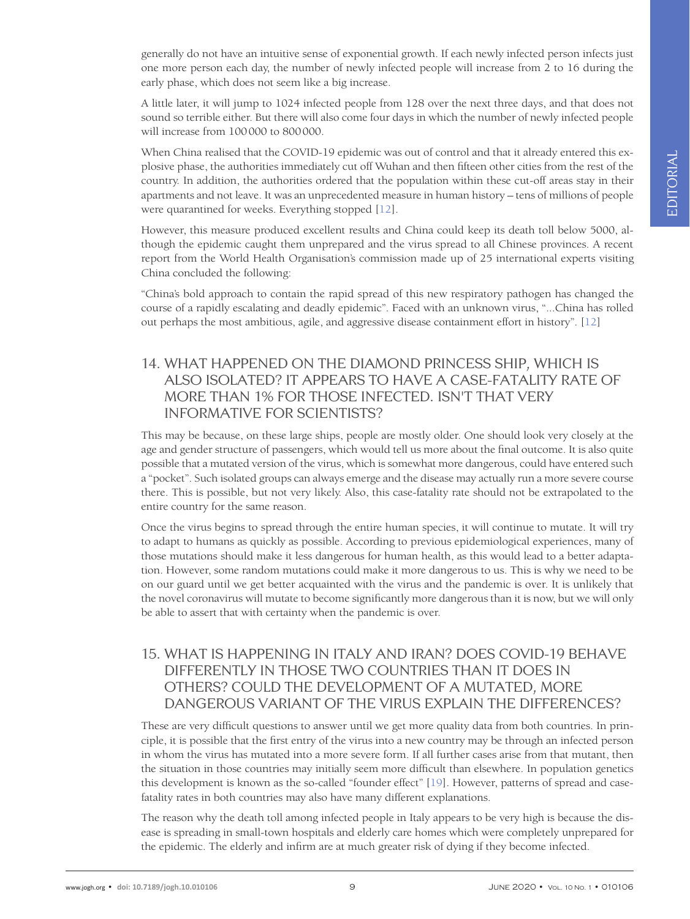generally do not have an intuitive sense of exponential growth. If each newly infected person infects just one more person each day, the number of newly infected people will increase from 2 to 16 during the early phase, which does not seem like a big increase.

A little later, it will jump to 1024 infected people from 128 over the next three days, and that does not sound so terrible either. But there will also come four days in which the number of newly infected people will increase from 100000 to 800000.

When China realised that the COVID-19 epidemic was out of control and that it already entered this explosive phase, the authorities immediately cut off Wuhan and then fifteen other cities from the rest of the country. In addition, the authorities ordered that the population within these cut-off areas stay in their apartments and not leave. It was an unprecedented measure in human history – tens of millions of people were quarantined for weeks. Everything stopped [\[12](#page-12-11)].

However, this measure produced excellent results and China could keep its death toll below 5000, although the epidemic caught them unprepared and the virus spread to all Chinese provinces. A recent report from the World Health Organisation's commission made up of 25 international experts visiting China concluded the following:

"China's bold approach to contain the rapid spread of this new respiratory pathogen has changed the course of a rapidly escalating and deadly epidemic". Faced with an unknown virus, "...China has rolled out perhaps the most ambitious, agile, and aggressive disease containment effort in history". [[12](#page-12-11)]

# 14. WHAT HAPPENED ON THE DIAMOND PRINCESS SHIP, WHICH IS ALSO ISOLATED? IT APPEARS TO HAVE A CASE-FATALITY RATE OF MORE THAN 1% FOR THOSE INFECTED. ISN'T THAT VERY INFORMATIVE FOR SCIENTISTS?

This may be because, on these large ships, people are mostly older. One should look very closely at the age and gender structure of passengers, which would tell us more about the final outcome. It is also quite possible that a mutated version of the virus, which is somewhat more dangerous, could have entered such a "pocket". Such isolated groups can always emerge and the disease may actually run a more severe course there. This is possible, but not very likely. Also, this case-fatality rate should not be extrapolated to the entire country for the same reason.

Once the virus begins to spread through the entire human species, it will continue to mutate. It will try to adapt to humans as quickly as possible. According to previous epidemiological experiences, many of those mutations should make it less dangerous for human health, as this would lead to a better adaptation. However, some random mutations could make it more dangerous to us. This is why we need to be on our guard until we get better acquainted with the virus and the pandemic is over. It is unlikely that the novel coronavirus will mutate to become significantly more dangerous than it is now, but we will only be able to assert that with certainty when the pandemic is over.

# 15. WHAT IS HAPPENING IN ITALY AND IRAN? DOES COVID-19 BEHAVE DIFFERENTLY IN THOSE TWO COUNTRIES THAN IT DOES IN OTHERS? COULD THE DEVELOPMENT OF A MUTATED, MORE DANGEROUS VARIANT OF THE VIRUS EXPLAIN THE DIFFERENCES?

These are very difficult questions to answer until we get more quality data from both countries. In principle, it is possible that the first entry of the virus into a new country may be through an infected person in whom the virus has mutated into a more severe form. If all further cases arise from that mutant, then the situation in those countries may initially seem more difficult than elsewhere. In population genetics this development is known as the so-called "founder effect" [[19](#page-12-18)]. However, patterns of spread and casefatality rates in both countries may also have many different explanations.

The reason why the death toll among infected people in Italy appears to be very high is because the disease is spreading in small-town hospitals and elderly care homes which were completely unprepared for the epidemic. The elderly and infirm are at much greater risk of dying if they become infected.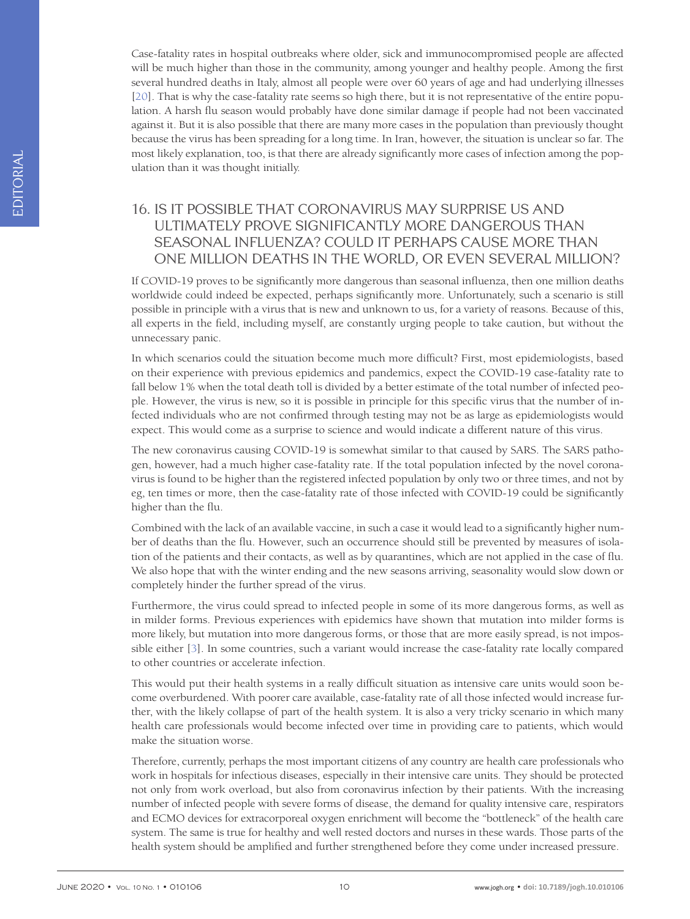Case-fatality rates in hospital outbreaks where older, sick and immunocompromised people are affected will be much higher than those in the community, among younger and healthy people. Among the first several hundred deaths in Italy, almost all people were over 60 years of age and had underlying illnesses [[20](#page-12-19)]. That is why the case-fatality rate seems so high there, but it is not representative of the entire population. A harsh flu season would probably have done similar damage if people had not been vaccinated against it. But it is also possible that there are many more cases in the population than previously thought because the virus has been spreading for a long time. In Iran, however, the situation is unclear so far. The most likely explanation, too, is that there are already significantly more cases of infection among the population than it was thought initially.

# 16. IS IT POSSIBLE THAT CORONAVIRUS MAY SURPRISE US AND ULTIMATELY PROVE SIGNIFICANTLY MORE DANGEROUS THAN SEASONAL INFLUENZA? COULD IT PERHAPS CAUSE MORE THAN ONE MILLION DEATHS IN THE WORLD, OR EVEN SEVERAL MILLION?

If COVID-19 proves to be significantly more dangerous than seasonal influenza, then one million deaths worldwide could indeed be expected, perhaps significantly more. Unfortunately, such a scenario is still possible in principle with a virus that is new and unknown to us, for a variety of reasons. Because of this, all experts in the field, including myself, are constantly urging people to take caution, but without the unnecessary panic.

In which scenarios could the situation become much more difficult? First, most epidemiologists, based on their experience with previous epidemics and pandemics, expect the COVID-19 case-fatality rate to fall below 1% when the total death toll is divided by a better estimate of the total number of infected people. However, the virus is new, so it is possible in principle for this specific virus that the number of infected individuals who are not confirmed through testing may not be as large as epidemiologists would expect. This would come as a surprise to science and would indicate a different nature of this virus.

The new coronavirus causing COVID-19 is somewhat similar to that caused by SARS. The SARS pathogen, however, had a much higher case-fatality rate. If the total population infected by the novel coronavirus is found to be higher than the registered infected population by only two or three times, and not by eg, ten times or more, then the case-fatality rate of those infected with COVID-19 could be significantly higher than the flu.

Combined with the lack of an available vaccine, in such a case it would lead to a significantly higher number of deaths than the flu. However, such an occurrence should still be prevented by measures of isolation of the patients and their contacts, as well as by quarantines, which are not applied in the case of flu. We also hope that with the winter ending and the new seasons arriving, seasonality would slow down or completely hinder the further spread of the virus.

Furthermore, the virus could spread to infected people in some of its more dangerous forms, as well as in milder forms. Previous experiences with epidemics have shown that mutation into milder forms is more likely, but mutation into more dangerous forms, or those that are more easily spread, is not impossible either [[3](#page-12-2)]. In some countries, such a variant would increase the case-fatality rate locally compared to other countries or accelerate infection.

This would put their health systems in a really difficult situation as intensive care units would soon become overburdened. With poorer care available, case-fatality rate of all those infected would increase further, with the likely collapse of part of the health system. It is also a very tricky scenario in which many health care professionals would become infected over time in providing care to patients, which would make the situation worse.

Therefore, currently, perhaps the most important citizens of any country are health care professionals who work in hospitals for infectious diseases, especially in their intensive care units. They should be protected not only from work overload, but also from coronavirus infection by their patients. With the increasing number of infected people with severe forms of disease, the demand for quality intensive care, respirators and ECMO devices for extracorporeal oxygen enrichment will become the "bottleneck" of the health care system. The same is true for healthy and well rested doctors and nurses in these wards. Those parts of the health system should be amplified and further strengthened before they come under increased pressure.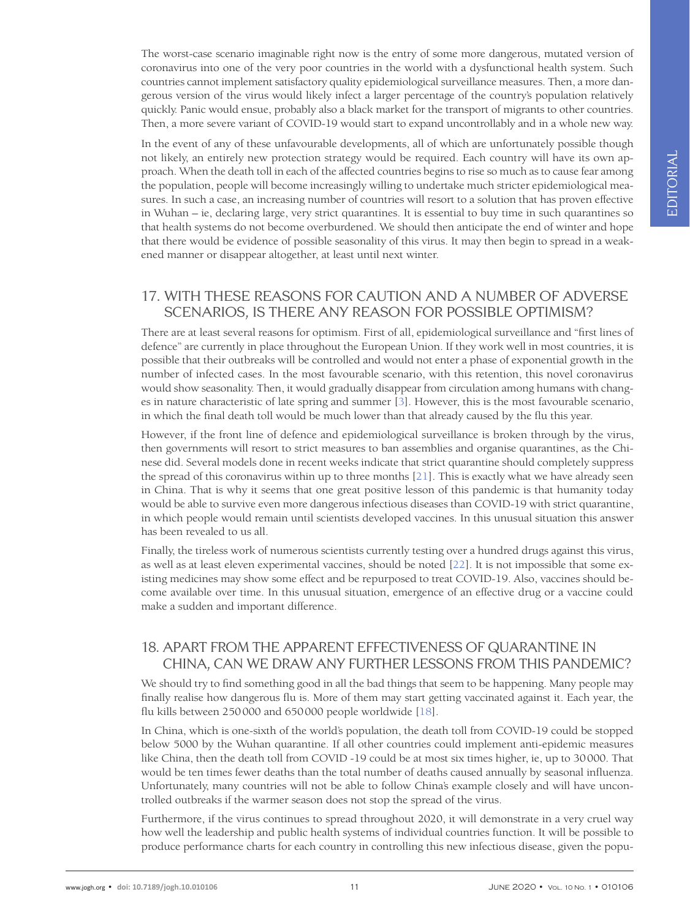The worst-case scenario imaginable right now is the entry of some more dangerous, mutated version of coronavirus into one of the very poor countries in the world with a dysfunctional health system. Such countries cannot implement satisfactory quality epidemiological surveillance measures. Then, a more dangerous version of the virus would likely infect a larger percentage of the country's population relatively quickly. Panic would ensue, probably also a black market for the transport of migrants to other countries. Then, a more severe variant of COVID-19 would start to expand uncontrollably and in a whole new way.

In the event of any of these unfavourable developments, all of which are unfortunately possible though not likely, an entirely new protection strategy would be required. Each country will have its own approach. When the death toll in each of the affected countries begins to rise so much as to cause fear among the population, people will become increasingly willing to undertake much stricter epidemiological measures. In such a case, an increasing number of countries will resort to a solution that has proven effective in Wuhan – ie, declaring large, very strict quarantines. It is essential to buy time in such quarantines so that health systems do not become overburdened. We should then anticipate the end of winter and hope that there would be evidence of possible seasonality of this virus. It may then begin to spread in a weakened manner or disappear altogether, at least until next winter.

# 17. WITH THESE REASONS FOR CAUTION AND A NUMBER OF ADVERSE SCENARIOS, IS THERE ANY REASON FOR POSSIBLE OPTIMISM?

There are at least several reasons for optimism. First of all, epidemiological surveillance and "first lines of defence" are currently in place throughout the European Union. If they work well in most countries, it is possible that their outbreaks will be controlled and would not enter a phase of exponential growth in the number of infected cases. In the most favourable scenario, with this retention, this novel coronavirus would show seasonality. Then, it would gradually disappear from circulation among humans with changes in nature characteristic of late spring and summer [[3](#page-12-2)]. However, this is the most favourable scenario, in which the final death toll would be much lower than that already caused by the flu this year.

However, if the front line of defence and epidemiological surveillance is broken through by the virus, then governments will resort to strict measures to ban assemblies and organise quarantines, as the Chinese did. Several models done in recent weeks indicate that strict quarantine should completely suppress the spread of this coronavirus within up to three months [[21](#page-12-20)]. This is exactly what we have already seen in China. That is why it seems that one great positive lesson of this pandemic is that humanity today would be able to survive even more dangerous infectious diseases than COVID-19 with strict quarantine, in which people would remain until scientists developed vaccines. In this unusual situation this answer has been revealed to us all.

Finally, the tireless work of numerous scientists currently testing over a hundred drugs against this virus, as well as at least eleven experimental vaccines, should be noted [[22](#page-12-21)]. It is not impossible that some existing medicines may show some effect and be repurposed to treat COVID-19. Also, vaccines should become available over time. In this unusual situation, emergence of an effective drug or a vaccine could make a sudden and important difference.

#### 18. APART FROM THE APPARENT EFFECTIVENESS OF QUARANTINE IN CHINA, CAN WE DRAW ANY FURTHER LESSONS FROM THIS PANDEMIC?

We should try to find something good in all the bad things that seem to be happening. Many people may finally realise how dangerous flu is. More of them may start getting vaccinated against it. Each year, the flu kills between 250000 and 650000 people worldwide [[18\]](#page-12-17).

In China, which is one-sixth of the world's population, the death toll from COVID-19 could be stopped below 5000 by the Wuhan quarantine. If all other countries could implement anti-epidemic measures like China, then the death toll from COVID -19 could be at most six times higher, ie, up to 30000. That would be ten times fewer deaths than the total number of deaths caused annually by seasonal influenza. Unfortunately, many countries will not be able to follow China's example closely and will have uncontrolled outbreaks if the warmer season does not stop the spread of the virus.

Furthermore, if the virus continues to spread throughout 2020, it will demonstrate in a very cruel way how well the leadership and public health systems of individual countries function. It will be possible to produce performance charts for each country in controlling this new infectious disease, given the popu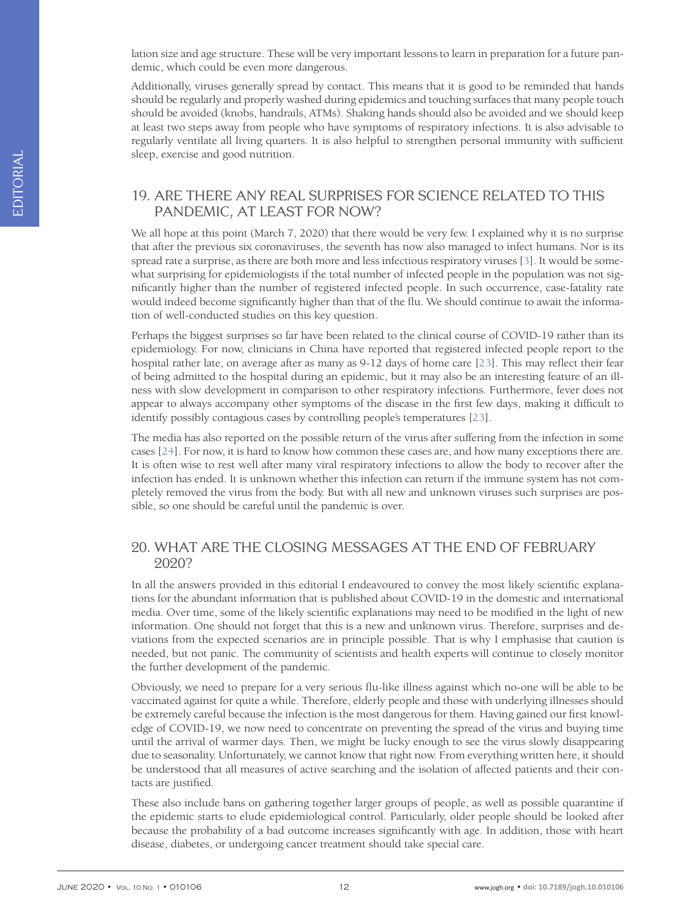lation size and age structure. These will be very important lessons to learn in preparation for a future pandemic, which could be even more dangerous.

Additionally, viruses generally spread by contact. This means that it is good to be reminded that hands should be regularly and properly washed during epidemics and touching surfaces that many people touch should be avoided (knobs, handrails, ATMs). Shaking hands should also be avoided and we should keep at least two steps away from people who have symptoms of respiratory infections. It is also advisable to regularly ventilate all living quarters. It is also helpful to strengthen personal immunity with sufficient sleep, exercise and good nutrition.

## 19. ARE THERE ANY REAL SURPRISES FOR SCIENCE RELATED TO THIS PANDEMIC, AT LEAST FOR NOW?

We all hope at this point (March 7, 2020) that there would be very few. I explained why it is no surprise that after the previous six coronaviruses, the seventh has now also managed to infect humans. Nor is its spread rate a surprise, as there are both more and less infectious respiratory viruses [[3](#page-12-2)]. It would be somewhat surprising for epidemiologists if the total number of infected people in the population was not significantly higher than the number of registered infected people. In such occurrence, case-fatality rate would indeed become significantly higher than that of the flu. We should continue to await the information of well-conducted studies on this key question.

Perhaps the biggest surprises so far have been related to the clinical course of COVID-19 rather than its epidemiology. For now, clinicians in China have reported that registered infected people report to the hospital rather late, on average after as many as 9-12 days of home care [\[23](#page-12-22)]. This may reflect their fear of being admitted to the hospital during an epidemic, but it may also be an interesting feature of an illness with slow development in comparison to other respiratory infections. Furthermore, fever does not appear to always accompany other symptoms of the disease in the first few days, making it difficult to identify possibly contagious cases by controlling people's temperatures [[23](#page-12-22)].

The media has also reported on the possible return of the virus after suffering from the infection in some cases [[24](#page-12-0)]. For now, it is hard to know how common these cases are, and how many exceptions there are. It is often wise to rest well after many viral respiratory infections to allow the body to recover after the infection has ended. It is unknown whether this infection can return if the immune system has not completely removed the virus from the body. But with all new and unknown viruses such surprises are possible, so one should be careful until the pandemic is over.

#### 20. WHAT ARE THE CLOSING MESSAGES AT THE END OF FEBRUARY 2020?

In all the answers provided in this editorial I endeavoured to convey the most likely scientific explanations for the abundant information that is published about COVID-19 in the domestic and international media. Over time, some of the likely scientific explanations may need to be modified in the light of new information. One should not forget that this is a new and unknown virus. Therefore, surprises and deviations from the expected scenarios are in principle possible. That is why I emphasise that caution is needed, but not panic. The community of scientists and health experts will continue to closely monitor the further development of the pandemic.

Obviously, we need to prepare for a very serious flu-like illness against which no-one will be able to be vaccinated against for quite a while. Therefore, elderly people and those with underlying illnesses should be extremely careful because the infection is the most dangerous for them. Having gained our first knowledge of COVID-19, we now need to concentrate on preventing the spread of the virus and buying time until the arrival of warmer days. Then, we might be lucky enough to see the virus slowly disappearing due to seasonality. Unfortunately, we cannot know that right now. From everything written here, it should be understood that all measures of active searching and the isolation of affected patients and their contacts are justified.

These also include bans on gathering together larger groups of people, as well as possible quarantine if the epidemic starts to elude epidemiological control. Particularly, older people should be looked after because the probability of a bad outcome increases significantly with age. In addition, those with heart disease, diabetes, or undergoing cancer treatment should take special care.